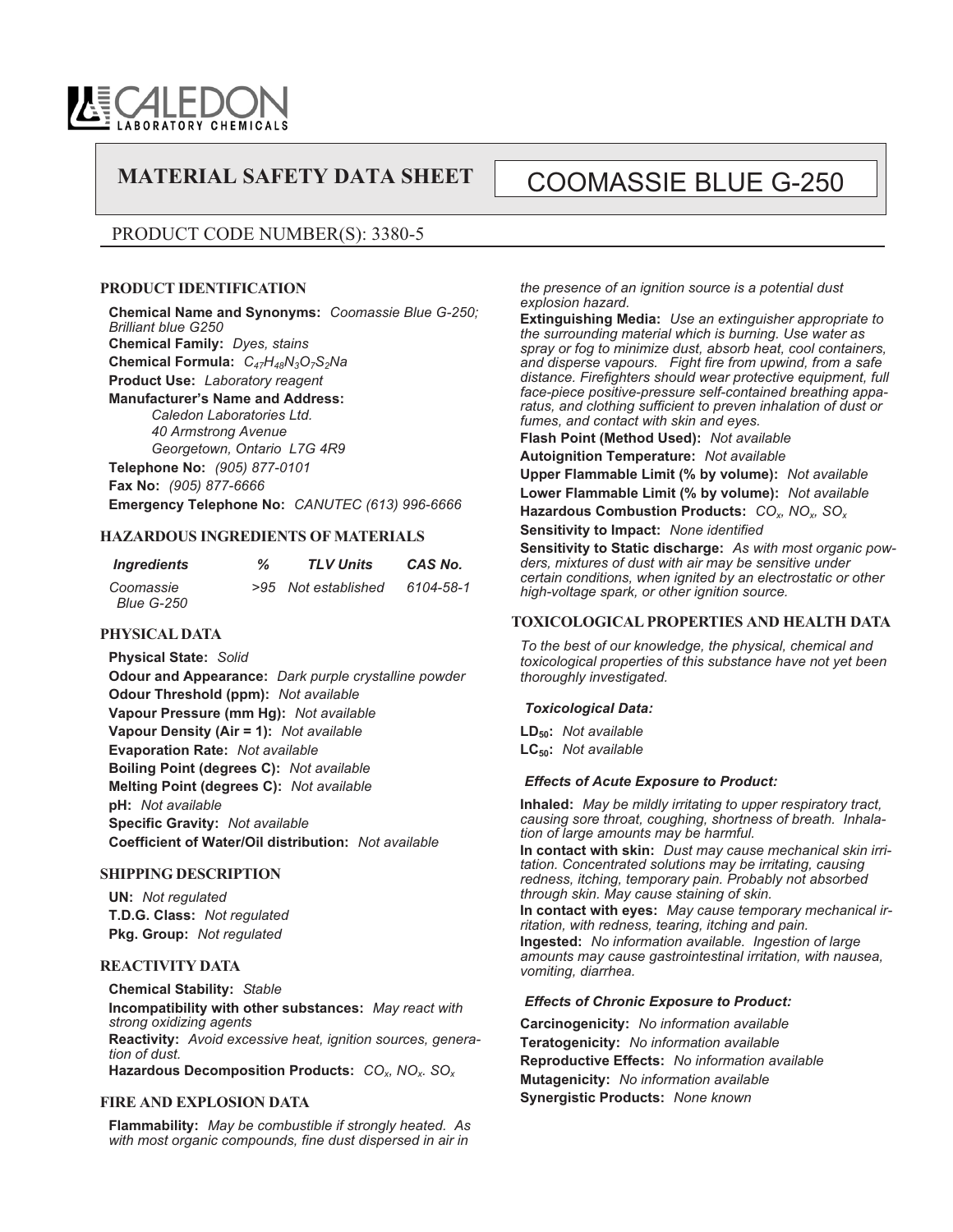

# MATERIAL SAFETY DATA SHEET | COOMASSIE BLUE G-250

# PRODUCT CODE NUMBER(S): 3380-5

#### **PRODUCT IDENTIFICATION**

**Chemical Name and Synonyms:** *Coomassie Blue G-250; Brilliant blue G250* **Chemical Family:** *Dyes, stains* **Chemical Formula:** *C47H48N3O7S2Na* **Product Use:** *Laboratory reagent* **Manufacturer's Name and Address:** *Caledon Laboratories Ltd. 40 Armstrong Avenue Georgetown, Ontario L7G 4R9* **Telephone No:** *(905) 877-0101* **Fax No:** *(905) 877-6666*

**Emergency Telephone No:** *CANUTEC (613) 996-6666*

#### **HAZARDOUS INGREDIENTS OF MATERIALS**

| Ingredients                    | % | <b>TLV Units</b>    | CAS No.   |
|--------------------------------|---|---------------------|-----------|
| Coomassie<br><b>Blue G-250</b> |   | >95 Not established | 6104-58-1 |

#### **PHYSICAL DATA**

**Physical State:** *Solid* **Odour and Appearance:** *Dark purple crystalline powder* **Odour Threshold (ppm):** *Not available* **Vapour Pressure (mm Hg):** *Not available* **Vapour Density (Air = 1):** *Not available* **Evaporation Rate:** *Not available* **Boiling Point (degrees C):** *Not available* **Melting Point (degrees C):** *Not available* **pH:** *Not available* **Specific Gravity:** *Not available* **Coefficient of Water/Oil distribution:** *Not available*

#### **SHIPPING DESCRIPTION**

**UN:** *Not regulated* **T.D.G. Class:** *Not regulated* **Pkg. Group:** *Not regulated*

#### **REACTIVITY DATA**

**Chemical Stability:** *Stable* **Incompatibility with other substances:** *May react with strong oxidizing agents* **Reactivity:** *Avoid excessive heat, ignition sources, generation of dust.* **Hazardous Decomposition Products:** *COx, NOx. SOx*

#### **FIRE AND EXPLOSION DATA**

**Flammability:** *May be combustible if strongly heated. As with most organic compounds, fine dust dispersed in air in*

*the presence of an ignition source is a potential dust explosion hazard.*

**Extinguishing Media:** *Use an extinguisher appropriate to the surrounding material which is burning. Use water as spray or fog to minimize dust, absorb heat, cool containers, and disperse vapours. Fight fire from upwind, from a safe distance. Firefighters should wear protective equipment, full face-piece positive-pressure self-contained breathing apparatus, and clothing sufficient to preven inhalation of dust or fumes, and contact with skin and eyes.*

**Flash Point (Method Used):** *Not available*

**Autoignition Temperature:** *Not available*

**Upper Flammable Limit (% by volume):** *Not available* **Lower Flammable Limit (% by volume):** *Not available* **Hazardous Combustion Products:** *COx, NOx, SOx*

**Sensitivity to Impact:** *None identified*

**Sensitivity to Static discharge:** *As with most organic powders, mixtures of dust with air may be sensitive under certain conditions, when ignited by an electrostatic or other high-voltage spark, or other ignition source.*

#### **TOXICOLOGICAL PROPERTIES AND HEALTH DATA**

*To the best of our knowledge, the physical, chemical and toxicological properties of this substance have not yet been thoroughly investigated.*

#### *Toxicological Data:*

**LD50:** *Not available* **LC50:** *Not available*

#### *Effects of Acute Exposure to Product:*

**Inhaled:** *May be mildly irritating to upper respiratory tract, causing sore throat, coughing, shortness of breath. Inhalation of large amounts may be harmful.*

**In contact with skin:** *Dust may cause mechanical skin irritation. Concentrated solutions may be irritating, causing redness, itching, temporary pain. Probably not absorbed through skin. May cause staining of skin.*

**In contact with eyes:** *May cause temporary mechanical irritation, with redness, tearing, itching and pain.* **Ingested:** *No information available. Ingestion of large amounts may cause gastrointestinal irritation, with nausea, vomiting, diarrhea.*

#### *Effects of Chronic Exposure to Product:*

**Carcinogenicity:** *No information available* **Teratogenicity:** *No information available* **Reproductive Effects:** *No information available* **Mutagenicity:** *No information available* **Synergistic Products:** *None known*